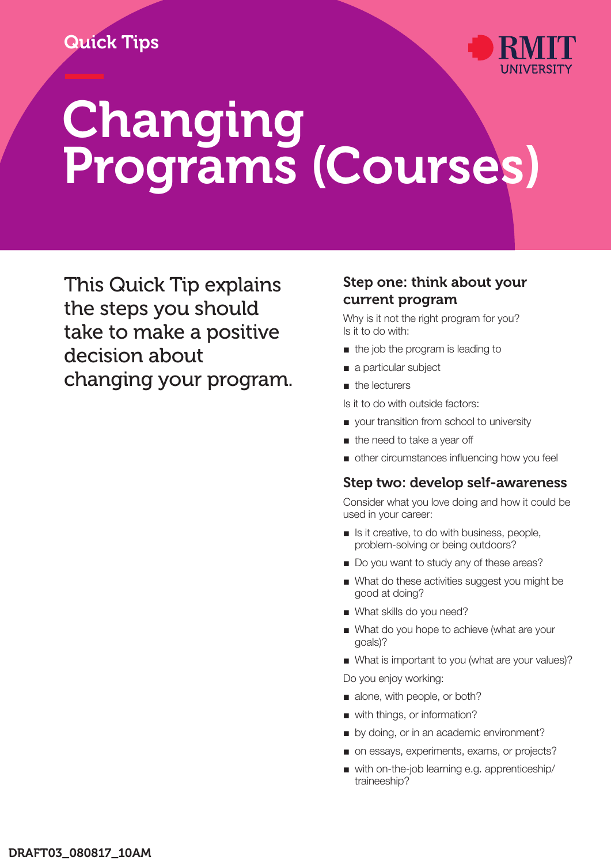# Quick Tips



# — Changing Programs (Courses)

This Quick Tip explains the steps you should take to make a positive decision about changing your program.

#### Step one: think about your current program

Why is it not the right program for you? Is it to do with:

- the job the program is leading to
- a particular subject
- the lecturers

Is it to do with outside factors:

- your transition from school to university
- the need to take a year off
- other circumstances influencing how you feel

#### Step two: develop self-awareness

Consider what you love doing and how it could be used in your career:

- Is it creative, to do with business, people, problem-solving or being outdoors?
- Do you want to study any of these areas?
- What do these activities suggest you might be good at doing?
- What skills do you need?
- What do you hope to achieve (what are your goals)?
- What is important to you (what are your values)?

Do you enjoy working:

- alone, with people, or both?
- with things, or information?
- by doing, or in an academic environment?
- on essays, experiments, exams, or projects?
- with on-the-job learning e.g. apprenticeship/ traineeship?